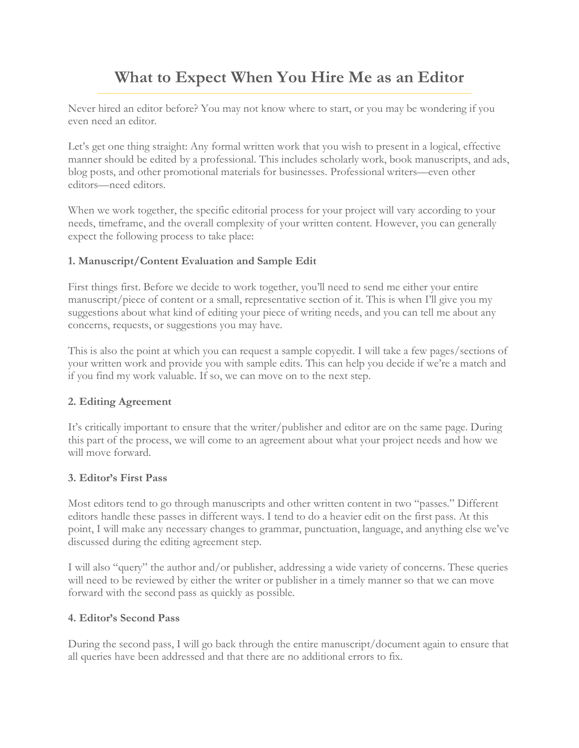# **What to Expect When You Hire Me as an Editor**

Never hired an editor before? You may not know where to start, or you may be wondering if you even need an editor.

Let's get one thing straight: Any formal written work that you wish to present in a logical, effective manner should be edited by a professional. This includes scholarly work, book manuscripts, and ads, blog posts, and other promotional materials for businesses. Professional writers—even other editors—need editors.

When we work together, the specific editorial process for your project will vary according to your needs, timeframe, and the overall complexity of your written content. However, you can generally expect the following process to take place:

### **1. Manuscript/Content Evaluation and Sample Edit**

First things first. Before we decide to work together, you'll need to send me either your entire manuscript/piece of content or a small, representative section of it. This is when I'll give you my suggestions about what kind of editing your piece of writing needs, and you can tell me about any concerns, requests, or suggestions you may have.

This is also the point at which you can request a sample copyedit. I will take a few pages/sections of your written work and provide you with sample edits. This can help you decide if we're a match and if you find my work valuable. If so, we can move on to the next step.

### **2. Editing Agreement**

It's critically important to ensure that the writer/publisher and editor are on the same page. During this part of the process, we will come to an agreement about what your project needs and how we will move forward.

### **3. Editor's First Pass**

Most editors tend to go through manuscripts and other written content in two "passes." Different editors handle these passes in different ways. I tend to do a heavier edit on the first pass. At this point, I will make any necessary changes to grammar, punctuation, language, and anything else we've discussed during the editing agreement step.

I will also "query" the author and/or publisher, addressing a wide variety of concerns. These queries will need to be reviewed by either the writer or publisher in a timely manner so that we can move forward with the second pass as quickly as possible.

#### **4. Editor's Second Pass**

During the second pass, I will go back through the entire manuscript/document again to ensure that all queries have been addressed and that there are no additional errors to fix.